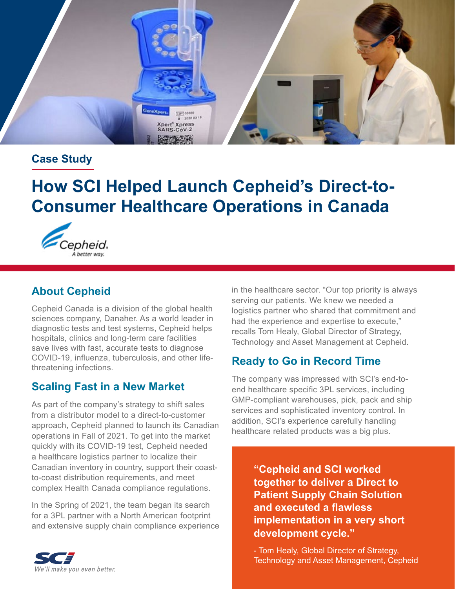

#### **Case Study**

# **How SCI Helped Launch Cepheid's Direct-to-Consumer Healthcare Operations in Canada**



## **About Cepheid**

Cepheid Canada is a division of the global health sciences company, Danaher. As a world leader in diagnostic tests and test systems, Cepheid helps hospitals, clinics and long-term care facilities save lives with fast, accurate tests to diagnose COVID-19, influenza, tuberculosis, and other lifethreatening infections.

#### **Scaling Fast in a New Market**

As part of the company's strategy to shift sales from a distributor model to a direct-to-customer approach, Cepheid planned to launch its Canadian operations in Fall of 2021. To get into the market quickly with its COVID-19 test, Cepheid needed a healthcare logistics partner to localize their Canadian inventory in country, support their coastto-coast distribution requirements, and meet complex Health Canada compliance regulations.

In the Spring of 2021, the team began its search for a 3PL partner with a North American footprint and extensive supply chain compliance experience in the healthcare sector. "Our top priority is always serving our patients. We knew we needed a logistics partner who shared that commitment and had the experience and expertise to execute," recalls Tom Healy, Global Director of Strategy, Technology and Asset Management at Cepheid.

# **Ready to Go in Record Time**

The company was impressed with SCI's end-toend healthcare specific 3PL services, including GMP-compliant warehouses, pick, pack and ship services and sophisticated inventory control. In addition, SCI's experience carefully handling healthcare related products was a big plus.

> **"Cepheid and SCI worked together to deliver a Direct to Patient Supply Chain Solution and executed a flawless implementation in a very short development cycle."**

- Tom Healy, Global Director of Strategy, Technology and Asset Management, Cepheid